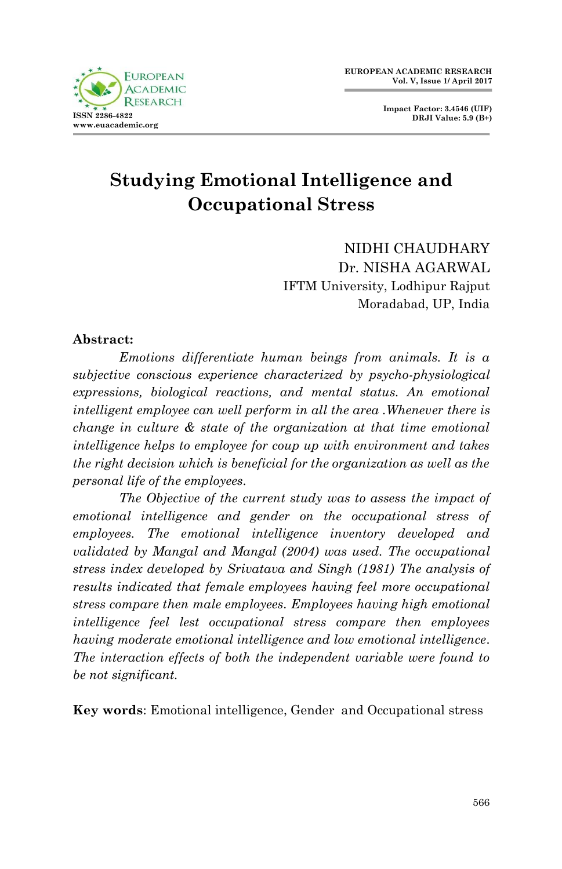

**Impact Factor: 3.4546 (UIF) DRJI Value: 5.9 (B+)**

# **Studying Emotional Intelligence and Occupational Stress**

NIDHI CHAUDHARY Dr. NISHA AGARWAL IFTM University, Lodhipur Rajput Moradabad, UP, India

#### **Abstract:**

*Emotions differentiate human beings from animals. It is a subjective conscious experience characterized by psycho-physiological expressions, biological reactions, and mental status. An emotional intelligent employee can well perform in all the area .Whenever there is change in culture & state of the organization at that time emotional intelligence helps to employee for coup up with environment and takes the right decision which is beneficial for the organization as well as the personal life of the employees.* 

*The Objective of the current study was to assess the impact of emotional intelligence and gender on the occupational stress of employees. The emotional intelligence inventory developed and validated by Mangal and Mangal (2004) was used. The occupational stress index developed by Srivatava and Singh (1981) The analysis of results indicated that female employees having feel more occupational stress compare then male employees. Employees having high emotional intelligence feel lest occupational stress compare then employees having moderate emotional intelligence and low emotional intelligence. The interaction effects of both the independent variable were found to be not significant.*

**Key words**: Emotional intelligence, Gender and Occupational stress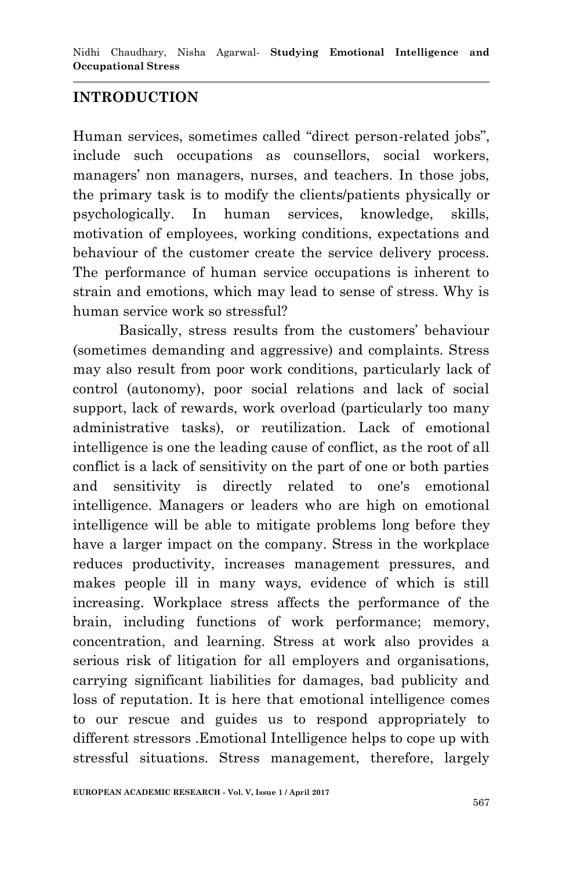### **INTRODUCTION**

Human services, sometimes called "direct person-related jobs", include such occupations as counsellors, social workers, managers' non managers, nurses, and teachers. In those jobs, the primary task is to modify the clients/patients physically or psychologically. In human services, knowledge, skills, motivation of employees, working conditions, expectations and behaviour of the customer create the service delivery process. The performance of human service occupations is inherent to strain and emotions, which may lead to sense of stress. Why is human service work so stressful?

Basically, stress results from the customers" behaviour (sometimes demanding and aggressive) and complaints. Stress may also result from poor work conditions, particularly lack of control (autonomy), poor social relations and lack of social support, lack of rewards, work overload (particularly too many administrative tasks), or reutilization. Lack of emotional intelligence is one the leading cause of conflict, as the root of all conflict is a lack of sensitivity on the part of one or both parties and sensitivity is directly related to one's emotional intelligence. Managers or leaders who are high on emotional intelligence will be able to mitigate problems long before they have a larger impact on the company. Stress in the workplace reduces productivity, increases management pressures, and makes people ill in many ways, evidence of which is still increasing. Workplace stress affects the performance of the brain, including functions of work performance; memory, concentration, and learning. Stress at work also provides a serious risk of litigation for all employers and organisations, carrying significant liabilities for damages, bad publicity and loss of reputation. It is here that emotional intelligence comes to our rescue and guides us to respond appropriately to different stressors .Emotional Intelligence helps to cope up with stressful situations. Stress management, therefore, largely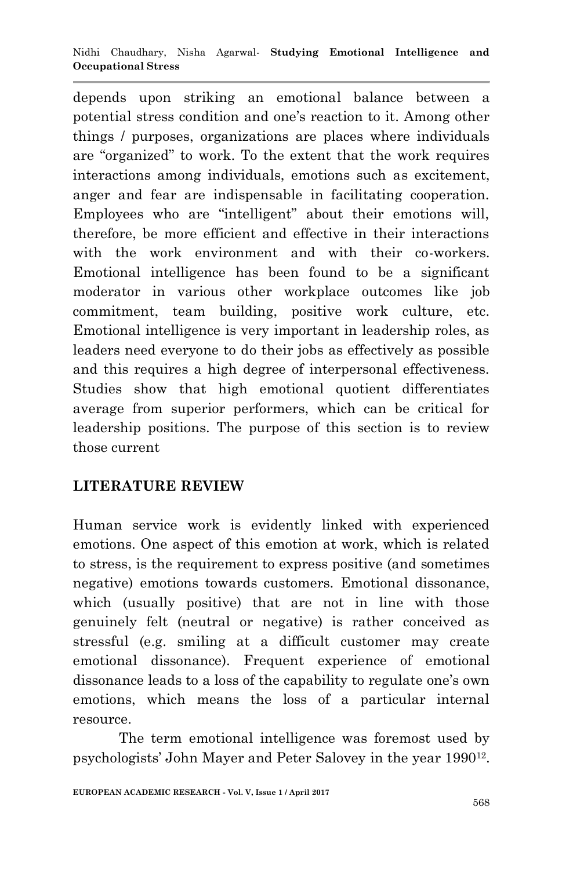depends upon striking an emotional balance between a potential stress condition and one"s reaction to it. Among other things / purposes, organizations are places where individuals are "organized" to work. To the extent that the work requires interactions among individuals, emotions such as excitement, anger and fear are indispensable in facilitating cooperation. Employees who are "intelligent" about their emotions will, therefore, be more efficient and effective in their interactions with the work environment and with their co-workers. Emotional intelligence has been found to be a significant moderator in various other workplace outcomes like job commitment, team building, positive work culture, etc*.* Emotional intelligence is very important in leadership roles, as leaders need everyone to do their jobs as effectively as possible and this requires a high degree of interpersonal effectiveness. Studies show that high emotional quotient differentiates average from superior performers, which can be critical for leadership positions. The purpose of this section is to review those current

# **LITERATURE REVIEW**

Human service work is evidently linked with experienced emotions. One aspect of this emotion at work, which is related to stress, is the requirement to express positive (and sometimes negative) emotions towards customers. Emotional dissonance, which (usually positive) that are not in line with those genuinely felt (neutral or negative) is rather conceived as stressful (e.g. smiling at a difficult customer may create emotional dissonance). Frequent experience of emotional dissonance leads to a loss of the capability to regulate one"s own emotions, which means the loss of a particular internal resource.

The term emotional intelligence was foremost used by psychologists' John Mayer and Peter Salovey in the year 1990<sup>12</sup>.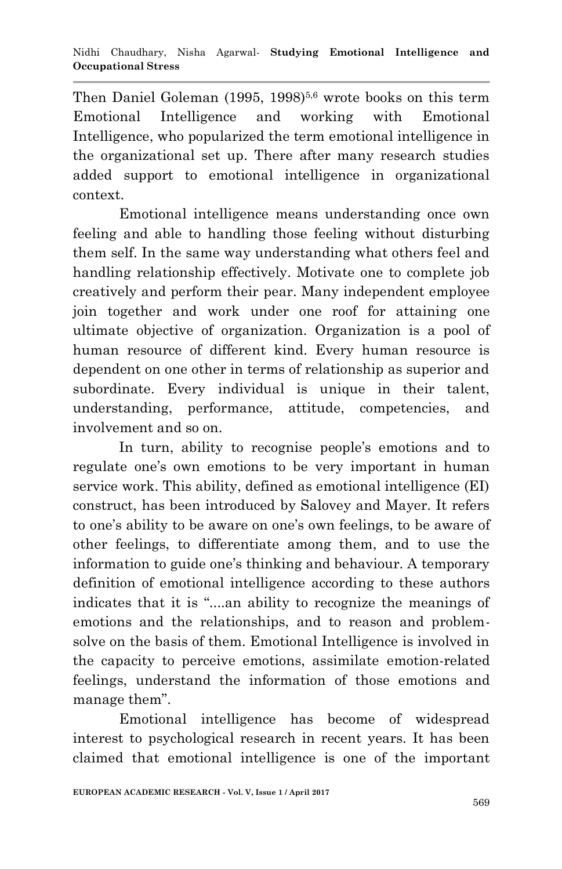Then Daniel Goleman (1995, 1998)<sup>5,6</sup> wrote books on this term Emotional Intelligence and working with Emotional Intelligence, who popularized the term emotional intelligence in the organizational set up. There after many research studies added support to emotional intelligence in organizational context.

Emotional intelligence means understanding once own feeling and able to handling those feeling without disturbing them self. In the same way understanding what others feel and handling relationship effectively. Motivate one to complete job creatively and perform their pear. Many independent employee join together and work under one roof for attaining one ultimate objective of organization. Organization is a pool of human resource of different kind. Every human resource is dependent on one other in terms of relationship as superior and subordinate. Every individual is unique in their talent, understanding, performance, attitude, competencies, and involvement and so on.

In turn, ability to recognise people's emotions and to regulate one's own emotions to be very important in human service work. This ability, defined as emotional intelligence (EI) construct, has been introduced by Salovey and Mayer. It refers to one's ability to be aware on one's own feelings, to be aware of other feelings, to differentiate among them, and to use the information to guide one"s thinking and behaviour. A temporary definition of emotional intelligence according to these authors indicates that it is "....an ability to recognize the meanings of emotions and the relationships, and to reason and problemsolve on the basis of them. Emotional Intelligence is involved in the capacity to perceive emotions, assimilate emotion-related feelings, understand the information of those emotions and manage them".

Emotional intelligence has become of widespread interest to psychological research in recent years. It has been claimed that emotional intelligence is one of the important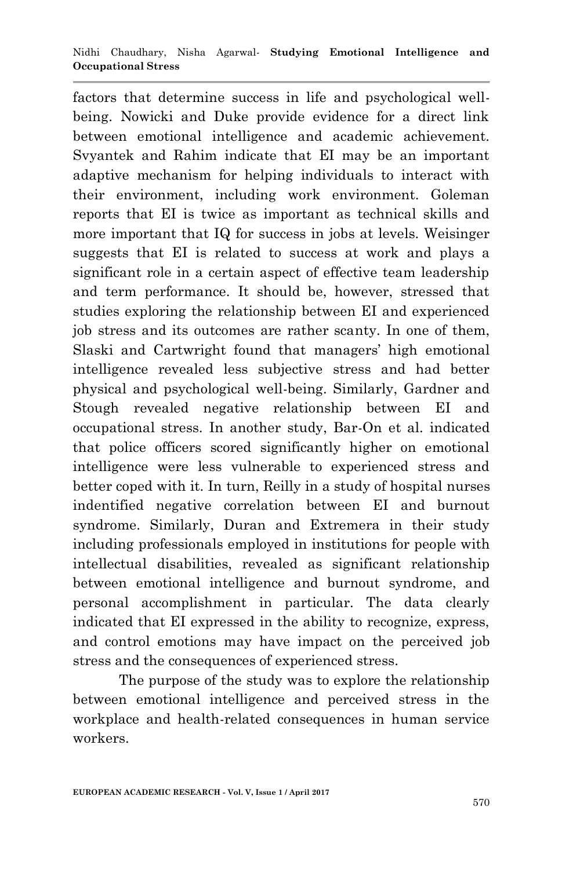factors that determine success in life and psychological wellbeing. Nowicki and Duke provide evidence for a direct link between emotional intelligence and academic achievement. Svyantek and Rahim indicate that EI may be an important adaptive mechanism for helping individuals to interact with their environment, including work environment. Goleman reports that EI is twice as important as technical skills and more important that IQ for success in jobs at levels. Weisinger suggests that EI is related to success at work and plays a significant role in a certain aspect of effective team leadership and term performance. It should be, however, stressed that studies exploring the relationship between EI and experienced job stress and its outcomes are rather scanty. In one of them, Slaski and Cartwright found that managers' high emotional intelligence revealed less subjective stress and had better physical and psychological well-being. Similarly, Gardner and Stough revealed negative relationship between EI and occupational stress. In another study, Bar-On et al. indicated that police officers scored significantly higher on emotional intelligence were less vulnerable to experienced stress and better coped with it. In turn, Reilly in a study of hospital nurses indentified negative correlation between EI and burnout syndrome. Similarly, Duran and Extremera in their study including professionals employed in institutions for people with intellectual disabilities, revealed as significant relationship between emotional intelligence and burnout syndrome, and personal accomplishment in particular. The data clearly indicated that EI expressed in the ability to recognize, express, and control emotions may have impact on the perceived job stress and the consequences of experienced stress.

The purpose of the study was to explore the relationship between emotional intelligence and perceived stress in the workplace and health-related consequences in human service workers.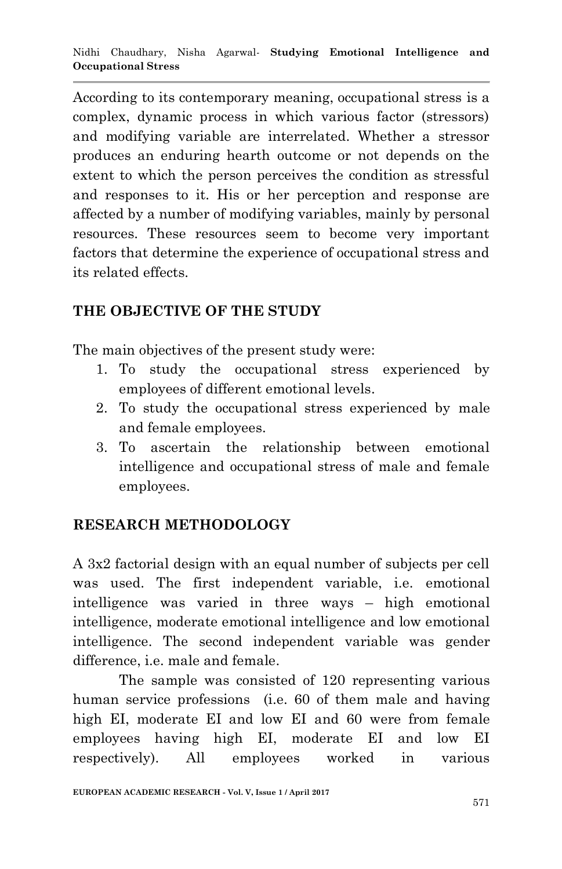According to its contemporary meaning, occupational stress is a complex, dynamic process in which various factor (stressors) and modifying variable are interrelated. Whether a stressor produces an enduring hearth outcome or not depends on the extent to which the person perceives the condition as stressful and responses to it. His or her perception and response are affected by a number of modifying variables, mainly by personal resources. These resources seem to become very important factors that determine the experience of occupational stress and its related effects.

### **THE OBJECTIVE OF THE STUDY**

The main objectives of the present study were:

- 1. To study the occupational stress experienced by employees of different emotional levels.
- 2. To study the occupational stress experienced by male and female employees.
- 3. To ascertain the relationship between emotional intelligence and occupational stress of male and female employees.

# **RESEARCH METHODOLOGY**

A 3x2 factorial design with an equal number of subjects per cell was used. The first independent variable, i.e. emotional intelligence was varied in three ways – high emotional intelligence, moderate emotional intelligence and low emotional intelligence. The second independent variable was gender difference, i.e. male and female.

The sample was consisted of 120 representing various human service professions (i.e. 60 of them male and having high EI, moderate EI and low EI and 60 were from female employees having high EI, moderate EI and low EI respectively). All employees worked in various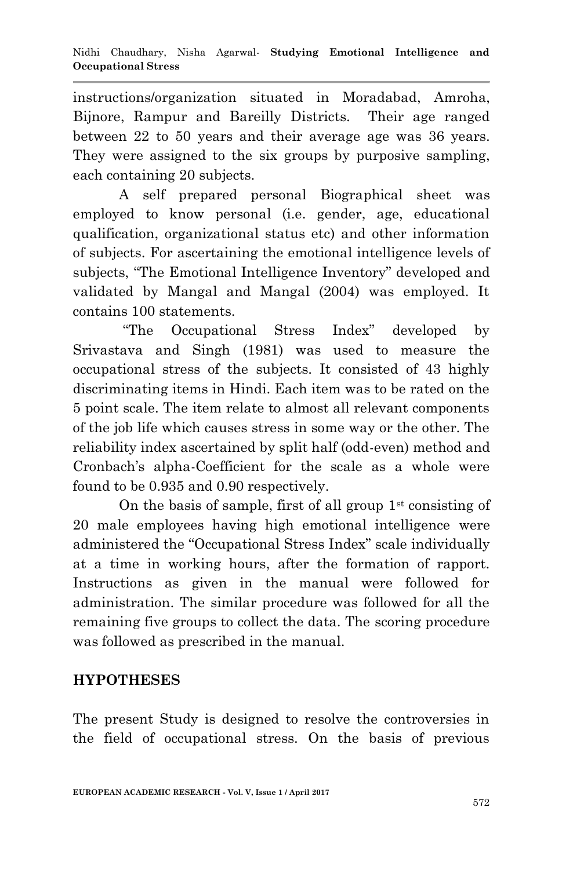instructions/organization situated in Moradabad, Amroha, Bijnore, Rampur and Bareilly Districts. Their age ranged between 22 to 50 years and their average age was 36 years. They were assigned to the six groups by purposive sampling, each containing 20 subjects.

A self prepared personal Biographical sheet was employed to know personal (i.e. gender, age, educational qualification, organizational status etc) and other information of subjects. For ascertaining the emotional intelligence levels of subjects, "The Emotional Intelligence Inventory" developed and validated by Mangal and Mangal (2004) was employed. It contains 100 statements.

"The Occupational Stress Index" developed by Srivastava and Singh (1981) was used to measure the occupational stress of the subjects. It consisted of 43 highly discriminating items in Hindi. Each item was to be rated on the 5 point scale. The item relate to almost all relevant components of the job life which causes stress in some way or the other. The reliability index ascertained by split half (odd-even) method and Cronbach"s alpha-Coefficient for the scale as a whole were found to be 0.935 and 0.90 respectively.

On the basis of sample, first of all group  $1<sup>st</sup>$  consisting of 20 male employees having high emotional intelligence were administered the "Occupational Stress Index" scale individually at a time in working hours, after the formation of rapport. Instructions as given in the manual were followed for administration. The similar procedure was followed for all the remaining five groups to collect the data. The scoring procedure was followed as prescribed in the manual.

### **HYPOTHESES**

The present Study is designed to resolve the controversies in the field of occupational stress. On the basis of previous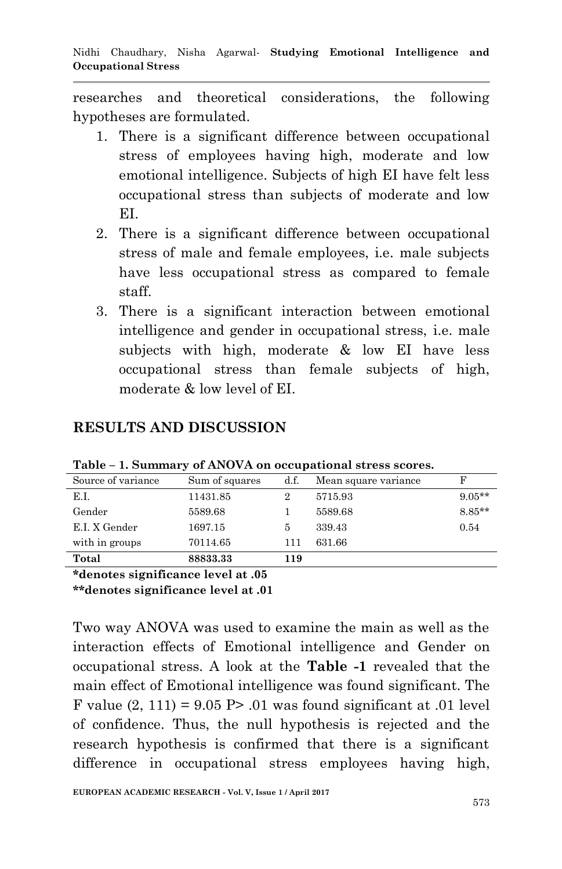researches and theoretical considerations, the following hypotheses are formulated.

- 1. There is a significant difference between occupational stress of employees having high, moderate and low emotional intelligence. Subjects of high EI have felt less occupational stress than subjects of moderate and low EI.
- 2. There is a significant difference between occupational stress of male and female employees, i.e. male subjects have less occupational stress as compared to female staff.
- 3. There is a significant interaction between emotional intelligence and gender in occupational stress, i.e. male subjects with high, moderate & low EI have less occupational stress than female subjects of high, moderate & low level of EI.

| Source of variance                | Sum of squares | d.f. | Mean square variance |          |
|-----------------------------------|----------------|------|----------------------|----------|
| E.I.                              | 11431.85       | 2    | 5715.93              | $9.05**$ |
| Gender                            | 5589.68        |      | 5589.68              | $8.85**$ |
| E.I. X Gender                     | 1697.15        | 5    | 339.43               | 0.54     |
| with in groups                    | 70114.65       | 111  | 631.66               |          |
| Total                             | 88833.33       | 119  |                      |          |
| $\sim$ 1 $\sim$ 1 $\sim$ 0 $\sim$ |                |      |                      |          |

#### **RESULTS AND DISCUSSION**

**Table – 1. Summary of ANOVA on occupational stress scores.**

**\*denotes significance level at .05**

**\*\*denotes significance level at .01**

Two way ANOVA was used to examine the main as well as the interaction effects of Emotional intelligence and Gender on occupational stress. A look at the **Table -1** revealed that the main effect of Emotional intelligence was found significant. The F value  $(2, 111) = 9.05$  P $> 0.01$  was found significant at 0.01 level of confidence. Thus, the null hypothesis is rejected and the research hypothesis is confirmed that there is a significant difference in occupational stress employees having high,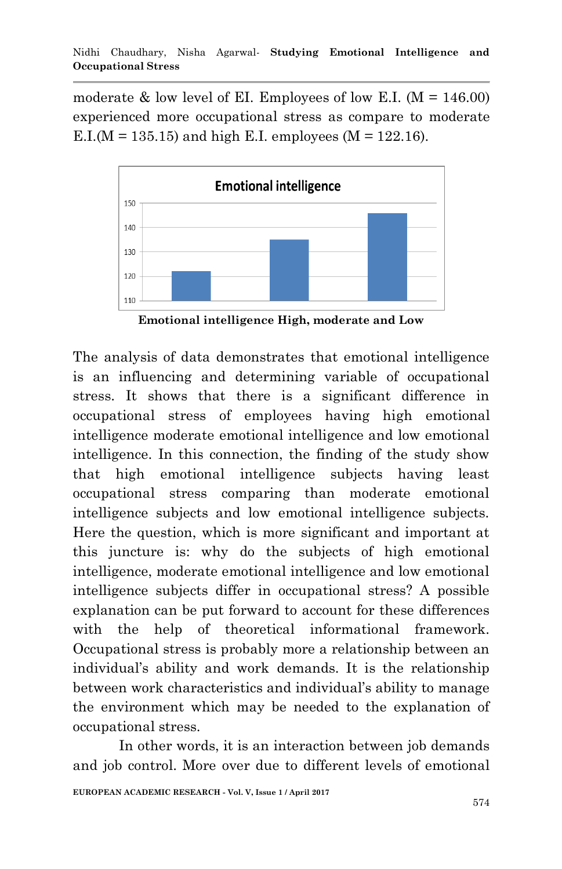moderate  $\&$  low level of EI. Employees of low E.I. ( $M = 146.00$ ) experienced more occupational stress as compare to moderate E.I.( $M = 135.15$ ) and high E.I. employees ( $M = 122.16$ ).



**Emotional intelligence High, moderate and Low**

The analysis of data demonstrates that emotional intelligence is an influencing and determining variable of occupational stress. It shows that there is a significant difference in occupational stress of employees having high emotional intelligence moderate emotional intelligence and low emotional intelligence. In this connection, the finding of the study show that high emotional intelligence subjects having least occupational stress comparing than moderate emotional intelligence subjects and low emotional intelligence subjects. Here the question, which is more significant and important at this juncture is: why do the subjects of high emotional intelligence, moderate emotional intelligence and low emotional intelligence subjects differ in occupational stress? A possible explanation can be put forward to account for these differences with the help of theoretical informational framework. Occupational stress is probably more a relationship between an individual"s ability and work demands. It is the relationship between work characteristics and individual's ability to manage the environment which may be needed to the explanation of occupational stress.

In other words, it is an interaction between job demands and job control. More over due to different levels of emotional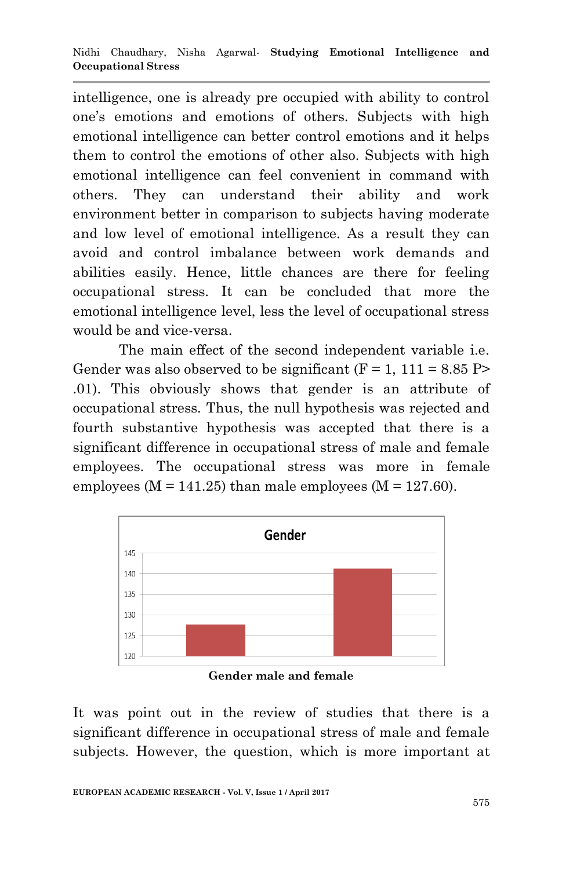intelligence, one is already pre occupied with ability to control one"s emotions and emotions of others. Subjects with high emotional intelligence can better control emotions and it helps them to control the emotions of other also. Subjects with high emotional intelligence can feel convenient in command with others. They can understand their ability and work environment better in comparison to subjects having moderate and low level of emotional intelligence. As a result they can avoid and control imbalance between work demands and abilities easily. Hence, little chances are there for feeling occupational stress. It can be concluded that more the emotional intelligence level, less the level of occupational stress would be and vice-versa.

The main effect of the second independent variable i.e. Gender was also observed to be significant  $(F = 1, 111 = 8.85 P$ .01). This obviously shows that gender is an attribute of occupational stress. Thus, the null hypothesis was rejected and fourth substantive hypothesis was accepted that there is a significant difference in occupational stress of male and female employees. The occupational stress was more in female employees ( $M = 141.25$ ) than male employees ( $M = 127.60$ ).



**Gender male and female**

It was point out in the review of studies that there is a significant difference in occupational stress of male and female subjects. However, the question, which is more important at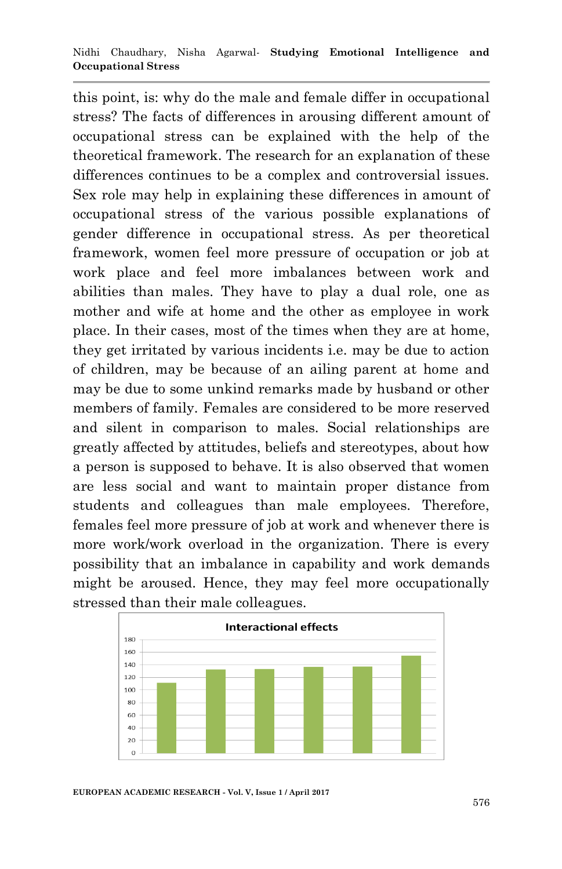this point, is: why do the male and female differ in occupational stress? The facts of differences in arousing different amount of occupational stress can be explained with the help of the theoretical framework. The research for an explanation of these differences continues to be a complex and controversial issues. Sex role may help in explaining these differences in amount of occupational stress of the various possible explanations of gender difference in occupational stress. As per theoretical framework, women feel more pressure of occupation or job at work place and feel more imbalances between work and abilities than males. They have to play a dual role, one as mother and wife at home and the other as employee in work place. In their cases, most of the times when they are at home, they get irritated by various incidents i.e. may be due to action of children, may be because of an ailing parent at home and may be due to some unkind remarks made by husband or other members of family. Females are considered to be more reserved and silent in comparison to males. Social relationships are greatly affected by attitudes, beliefs and stereotypes, about how a person is supposed to behave. It is also observed that women are less social and want to maintain proper distance from students and colleagues than male employees. Therefore, females feel more pressure of job at work and whenever there is more work/work overload in the organization. There is every possibility that an imbalance in capability and work demands might be aroused. Hence, they may feel more occupationally stressed than their male colleagues.



**EUROPEAN ACADEMIC RESEARCH - Vol. V, Issue 1 / April 2017**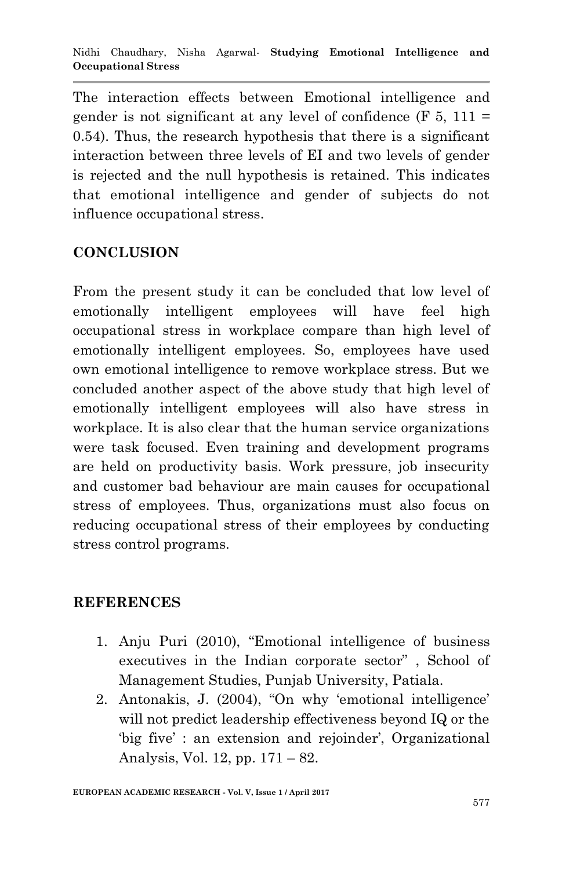The interaction effects between Emotional intelligence and gender is not significant at any level of confidence  $(F 5, 111 =$ 0.54). Thus, the research hypothesis that there is a significant interaction between three levels of EI and two levels of gender is rejected and the null hypothesis is retained. This indicates that emotional intelligence and gender of subjects do not influence occupational stress.

# **CONCLUSION**

From the present study it can be concluded that low level of emotionally intelligent employees will have feel high occupational stress in workplace compare than high level of emotionally intelligent employees. So, employees have used own emotional intelligence to remove workplace stress. But we concluded another aspect of the above study that high level of emotionally intelligent employees will also have stress in workplace. It is also clear that the human service organizations were task focused. Even training and development programs are held on productivity basis. Work pressure, job insecurity and customer bad behaviour are main causes for occupational stress of employees. Thus, organizations must also focus on reducing occupational stress of their employees by conducting stress control programs.

#### **REFERENCES**

- 1. Anju Puri (2010), "Emotional intelligence of business executives in the Indian corporate sector" , School of Management Studies, Punjab University, Patiala.
- 2. Antonakis, J. (2004), "On why 'emotional intelligence' will not predict leadership effectiveness beyond IQ or the "big five': an extension and rejoinder', Organizational Analysis, Vol. 12, pp. 171 – 82.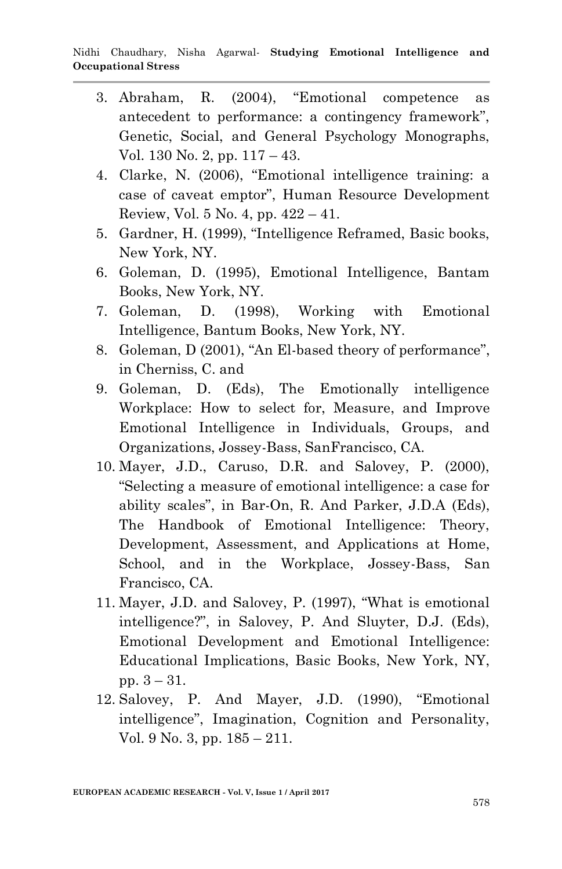- 3. Abraham, R. (2004), "Emotional competence as antecedent to performance: a contingency framework", Genetic, Social, and General Psychology Monographs, Vol. 130 No. 2, pp. 117 – 43.
- 4. Clarke, N. (2006), "Emotional intelligence training: a case of caveat emptor", Human Resource Development Review, Vol.  $5$  No.  $4$ , pp.  $422 - 41$ .
- 5. Gardner, H. (1999), "Intelligence Reframed, Basic books, New York, NY.
- 6. Goleman, D. (1995), Emotional Intelligence, Bantam Books, New York, NY.
- 7. Goleman, D. (1998), Working with Emotional Intelligence, Bantum Books, New York, NY.
- 8. Goleman, D (2001), "An El-based theory of performance", in Cherniss, C. and
- 9. Goleman, D. (Eds), The Emotionally intelligence Workplace: How to select for, Measure, and Improve Emotional Intelligence in Individuals, Groups, and Organizations, Jossey-Bass, SanFrancisco, CA.
- 10. Mayer, J.D., Caruso, D.R. and Salovey, P. (2000), "Selecting a measure of emotional intelligence: a case for ability scales", in Bar-On, R. And Parker, J.D.A (Eds), The Handbook of Emotional Intelligence: Theory, Development, Assessment, and Applications at Home, School, and in the Workplace, Jossey-Bass, San Francisco, CA.
- 11. Mayer, J.D. and Salovey, P. (1997), "What is emotional intelligence?", in Salovey, P. And Sluyter, D.J. (Eds), Emotional Development and Emotional Intelligence: Educational Implications, Basic Books, New York, NY, pp. 3 – 31.
- 12. Salovey, P. And Mayer, J.D. (1990), "Emotional intelligence", Imagination, Cognition and Personality, Vol. 9 No. 3, pp. 185 – 211.